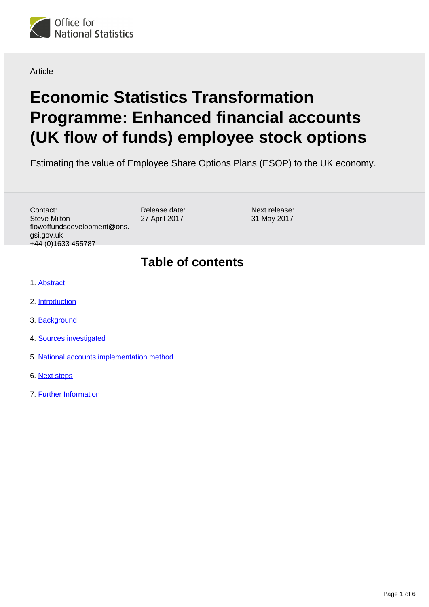

**Article** 

# **Economic Statistics Transformation Programme: Enhanced financial accounts (UK flow of funds) employee stock options**

Estimating the value of Employee Share Options Plans (ESOP) to the UK economy.

Contact: Steve Milton flowoffundsdevelopment@ons. gsi.gov.uk +44 (0)1633 455787

Release date: 27 April 2017

Next release: 31 May 2017

#### **Table of contents**

- 1. [Abstract](#page-1-0)
- 2. [Introduction](#page-1-1)
- 3. [Background](#page-2-0)
- 4. [Sources investigated](#page-3-0)
- 5. [National accounts implementation method](#page-4-0)
- 6. [Next steps](#page-4-1)
- 7. [Further Information](#page-5-0)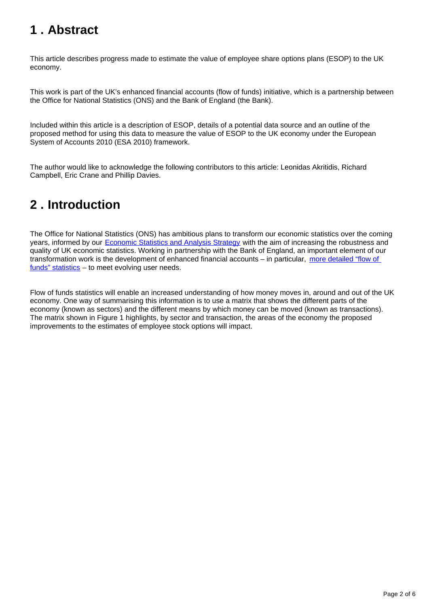## <span id="page-1-0"></span>**1 . Abstract**

This article describes progress made to estimate the value of employee share options plans (ESOP) to the UK economy.

This work is part of the UK's enhanced financial accounts (flow of funds) initiative, which is a partnership between the Office for National Statistics (ONS) and the Bank of England (the Bank).

Included within this article is a description of ESOP, details of a potential data source and an outline of the proposed method for using this data to measure the value of ESOP to the UK economy under the European System of Accounts 2010 (ESA 2010) framework.

The author would like to acknowledge the following contributors to this article: Leonidas Akritidis, Richard Campbell, Eric Crane and Phillip Davies.

# <span id="page-1-1"></span>**2 . Introduction**

The Office for National Statistics (ONS) has ambitious plans to transform our economic statistics over the coming years, informed by our [Economic Statistics and Analysis Strategy](https://www.ons.gov.uk/methodology/classificationsandstandards/economicstatisticsclassifications/economicstatisticsandanalysisstrategy) with the aim of increasing the robustness and quality of UK economic statistics. Working in partnership with the Bank of England, an important element of our transformation work is the development of enhanced financial accounts – in particular, more detailed "flow of [funds" statistics](https://www.ons.gov.uk/economy/nationalaccounts/uksectoraccounts/articles/economicstatisticstransformationprogramme/developingtheenhancedfinancialaccountsukflowoffunds) – to meet evolving user needs.

Flow of funds statistics will enable an increased understanding of how money moves in, around and out of the UK economy. One way of summarising this information is to use a matrix that shows the different parts of the economy (known as sectors) and the different means by which money can be moved (known as transactions). The matrix shown in Figure 1 highlights, by sector and transaction, the areas of the economy the proposed improvements to the estimates of employee stock options will impact.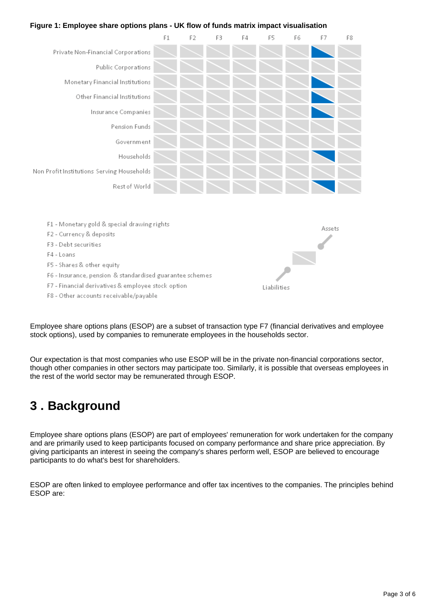#### **Figure 1: Employee share options plans - UK flow of funds matrix impact visualisation**



- 
- F7 Financial derivatives & employee stock option F8 - Other accounts receivable/payable
- 

Employee share options plans (ESOP) are a subset of transaction type F7 (financial derivatives and employee stock options), used by companies to remunerate employees in the households sector.

Liabilities

Our expectation is that most companies who use ESOP will be in the private non-financial corporations sector, though other companies in other sectors may participate too. Similarly, it is possible that overseas employees in the rest of the world sector may be remunerated through ESOP.

#### <span id="page-2-0"></span>**3 . Background**

Employee share options plans (ESOP) are part of employees' remuneration for work undertaken for the company and are primarily used to keep participants focused on company performance and share price appreciation. By giving participants an interest in seeing the company's shares perform well, ESOP are believed to encourage participants to do what's best for shareholders.

ESOP are often linked to employee performance and offer tax incentives to the companies. The principles behind ESOP are: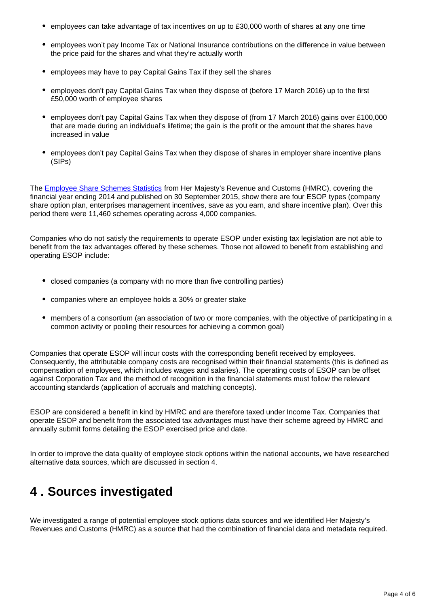- $\bullet$  employees can take advantage of tax incentives on up to £30,000 worth of shares at any one time
- employees won't pay Income Tax or National Insurance contributions on the difference in value between the price paid for the shares and what they're actually worth
- employees may have to pay Capital Gains Tax if they sell the shares
- employees don't pay Capital Gains Tax when they dispose of (before 17 March 2016) up to the first £50,000 worth of employee shares
- employees don't pay Capital Gains Tax when they dispose of (from 17 March 2016) gains over £100,000 that are made during an individual's lifetime; the gain is the profit or the amount that the shares have increased in value
- employees don't pay Capital Gains Tax when they dispose of shares in employer share incentive plans (SIPs)

The [Employee Share Schemes Statistics](https://www.gov.uk/government/collections/employee-share-schemes-statistics) from Her Majesty's Revenue and Customs (HMRC), covering the financial year ending 2014 and published on 30 September 2015, show there are four ESOP types (company share option plan, enterprises management incentives, save as you earn, and share incentive plan). Over this period there were 11,460 schemes operating across 4,000 companies.

Companies who do not satisfy the requirements to operate ESOP under existing tax legislation are not able to benefit from the tax advantages offered by these schemes. Those not allowed to benefit from establishing and operating ESOP include:

- closed companies (a company with no more than five controlling parties)
- companies where an employee holds a 30% or greater stake
- members of a consortium (an association of two or more companies, with the objective of participating in a common activity or pooling their resources for achieving a common goal)

Companies that operate ESOP will incur costs with the corresponding benefit received by employees. Consequently, the attributable company costs are recognised within their financial statements (this is defined as compensation of employees, which includes wages and salaries). The operating costs of ESOP can be offset against Corporation Tax and the method of recognition in the financial statements must follow the relevant accounting standards (application of accruals and matching concepts).

ESOP are considered a benefit in kind by HMRC and are therefore taxed under Income Tax. Companies that operate ESOP and benefit from the associated tax advantages must have their scheme agreed by HMRC and annually submit forms detailing the ESOP exercised price and date.

In order to improve the data quality of employee stock options within the national accounts, we have researched alternative data sources, which are discussed in section 4.

### <span id="page-3-0"></span>**4 . Sources investigated**

We investigated a range of potential employee stock options data sources and we identified Her Majesty's Revenues and Customs (HMRC) as a source that had the combination of financial data and metadata required.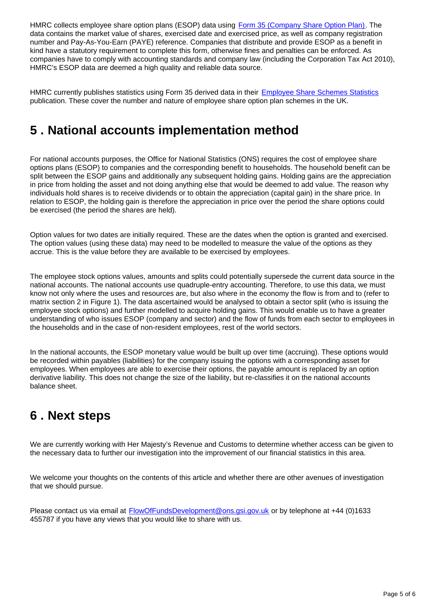HMRC collects employee share option plans (ESOP) data using [Form 35 \(Company Share Option Plan\)](https://www.gov.uk/government/uploads/system/uploads/attachment_data/file/365937/csop-form35-2012.pdf). The data contains the market value of shares, exercised date and exercised price, as well as company registration number and Pay-As-You-Earn (PAYE) reference. Companies that distribute and provide ESOP as a benefit in kind have a statutory requirement to complete this form, otherwise fines and penalties can be enforced. As companies have to comply with accounting standards and company law (including the Corporation Tax Act 2010), HMRC's ESOP data are deemed a high quality and reliable data source.

HMRC currently publishes statistics using Form 35 derived data in their **[Employee Share Schemes Statistics](https://www.gov.uk/government/collections/employee-share-schemes-statistics)** publication. These cover the number and nature of employee share option plan schemes in the UK.

### <span id="page-4-0"></span>**5 . National accounts implementation method**

For national accounts purposes, the Office for National Statistics (ONS) requires the cost of employee share options plans (ESOP) to companies and the corresponding benefit to households. The household benefit can be split between the ESOP gains and additionally any subsequent holding gains. Holding gains are the appreciation in price from holding the asset and not doing anything else that would be deemed to add value. The reason why individuals hold shares is to receive dividends or to obtain the appreciation (capital gain) in the share price. In relation to ESOP, the holding gain is therefore the appreciation in price over the period the share options could be exercised (the period the shares are held).

Option values for two dates are initially required. These are the dates when the option is granted and exercised. The option values (using these data) may need to be modelled to measure the value of the options as they accrue. This is the value before they are available to be exercised by employees.

The employee stock options values, amounts and splits could potentially supersede the current data source in the national accounts. The national accounts use quadruple-entry accounting. Therefore, to use this data, we must know not only where the uses and resources are, but also where in the economy the flow is from and to (refer to matrix section 2 in Figure 1). The data ascertained would be analysed to obtain a sector split (who is issuing the employee stock options) and further modelled to acquire holding gains. This would enable us to have a greater understanding of who issues ESOP (company and sector) and the flow of funds from each sector to employees in the households and in the case of non-resident employees, rest of the world sectors.

In the national accounts, the ESOP monetary value would be built up over time (accruing). These options would be recorded within payables (liabilities) for the company issuing the options with a corresponding asset for employees. When employees are able to exercise their options, the payable amount is replaced by an option derivative liability. This does not change the size of the liability, but re-classifies it on the national accounts balance sheet.

### <span id="page-4-1"></span>**6 . Next steps**

We are currently working with Her Majesty's Revenue and Customs to determine whether access can be given to the necessary data to further our investigation into the improvement of our financial statistics in this area.

We welcome your thoughts on the contents of this article and whether there are other avenues of investigation that we should pursue.

Please contact us via email at **FlowOfFundsDevelopment@ons.gsi.gov.uk** or by telephone at +44 (0)1633 455787 if you have any views that you would like to share with us.